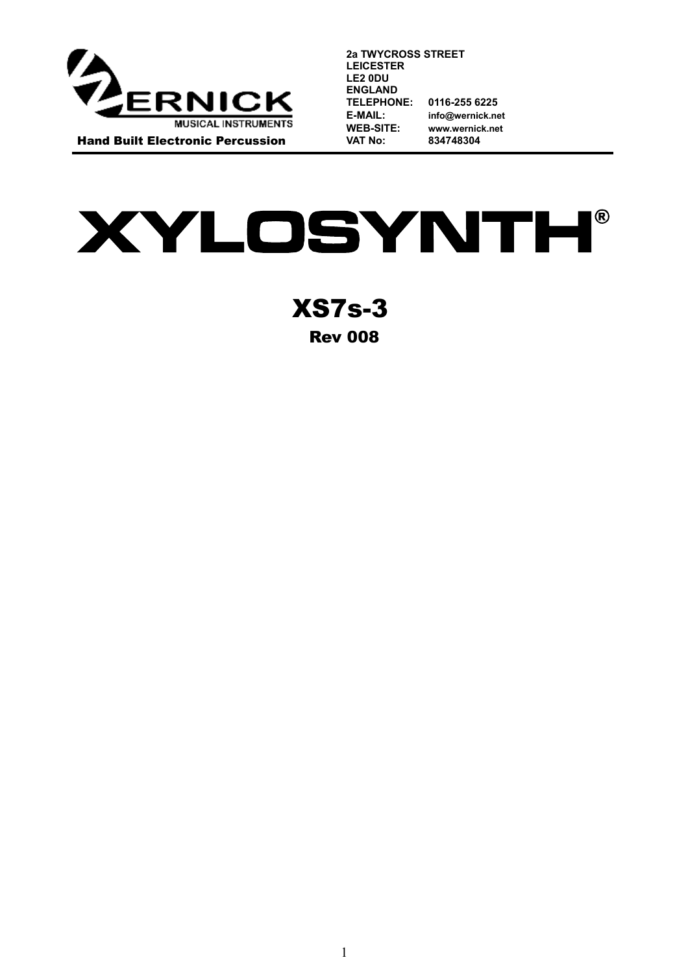

**2a TWYCROSS STREET LEICESTER LE2 0DU ENGLAND TELEPHONE: 0116-255 6225 E-MAIL: info@wernick.net WEB-SITE: [www.wernick.net](http://www.wernick.net/) VAT No: 834748304**

**XYLOSYNTH®** 

XS7s-3 Rev 008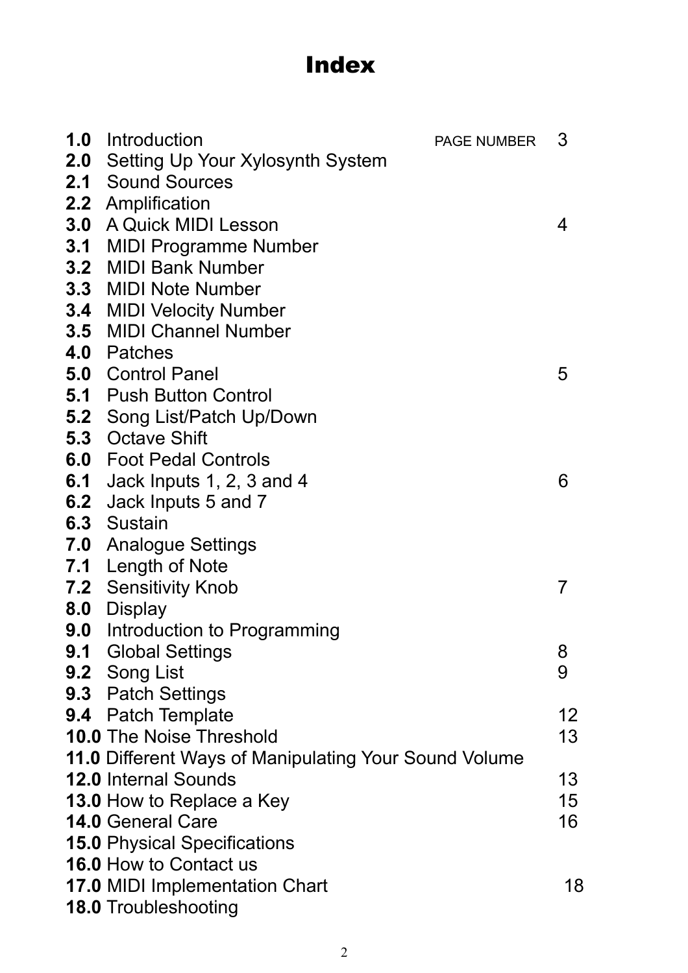# Index

|     | <b>1.0</b> Introduction                                              | <b>PAGE NUMBER</b> | 3  |
|-----|----------------------------------------------------------------------|--------------------|----|
|     | <b>2.0</b> Setting Up Your Xylosynth System                          |                    |    |
|     | <b>2.1 Sound Sources</b>                                             |                    |    |
|     | 2.2 Amplification                                                    |                    |    |
| 3.0 | A Quick MIDI Lesson                                                  |                    | 4  |
|     | <b>3.1 MIDI Programme Number</b>                                     |                    |    |
|     | 3.2 MIDI Bank Number                                                 |                    |    |
|     | <b>3.3 MIDI Note Number</b>                                          |                    |    |
|     | <b>3.4 MIDI Velocity Number</b>                                      |                    |    |
|     | <b>3.5 MIDI Channel Number</b>                                       |                    |    |
|     | 4.0 Patches                                                          |                    |    |
|     | <b>5.0 Control Panel</b>                                             |                    | 5  |
|     | <b>5.1 Push Button Control</b>                                       |                    |    |
| 5.2 | Song List/Patch Up/Down                                              |                    |    |
|     | <b>5.3</b> Octave Shift                                              |                    |    |
|     | <b>6.0</b> Foot Pedal Controls                                       |                    |    |
| 6.1 | Jack Inputs 1, 2, 3 and 4                                            |                    | 6  |
| 6.2 | Jack Inputs 5 and 7                                                  |                    |    |
|     | 6.3 Sustain                                                          |                    |    |
| 7.0 | <b>Analogue Settings</b>                                             |                    |    |
|     | 7.1 Length of Note                                                   |                    |    |
|     | <b>7.2 Sensitivity Knob</b>                                          |                    | 7  |
| 8.0 | Display                                                              |                    |    |
| 9.0 | Introduction to Programming                                          |                    |    |
| 9.1 | <b>Global Settings</b>                                               |                    | 8  |
|     | 9.2 Song List                                                        |                    | 9  |
|     | <b>9.3</b> Patch Settings                                            |                    |    |
|     | <b>9.4</b> Patch Template                                            |                    | 12 |
|     | <b>10.0 The Noise Threshold</b>                                      |                    | 13 |
|     | 11.0 Different Ways of Manipulating Your Sound Volume                |                    |    |
|     | <b>12.0 Internal Sounds</b>                                          |                    | 13 |
|     | <b>13.0 How to Replace a Key</b>                                     |                    | 15 |
|     | <b>14.0 General Care</b>                                             |                    | 16 |
|     | <b>15.0 Physical Specifications</b><br><b>16.0 How to Contact us</b> |                    |    |
|     |                                                                      |                    |    |
|     | <b>17.0 MIDI Implementation Chart</b>                                |                    | 18 |
|     | <b>18.0 Troubleshooting</b>                                          |                    |    |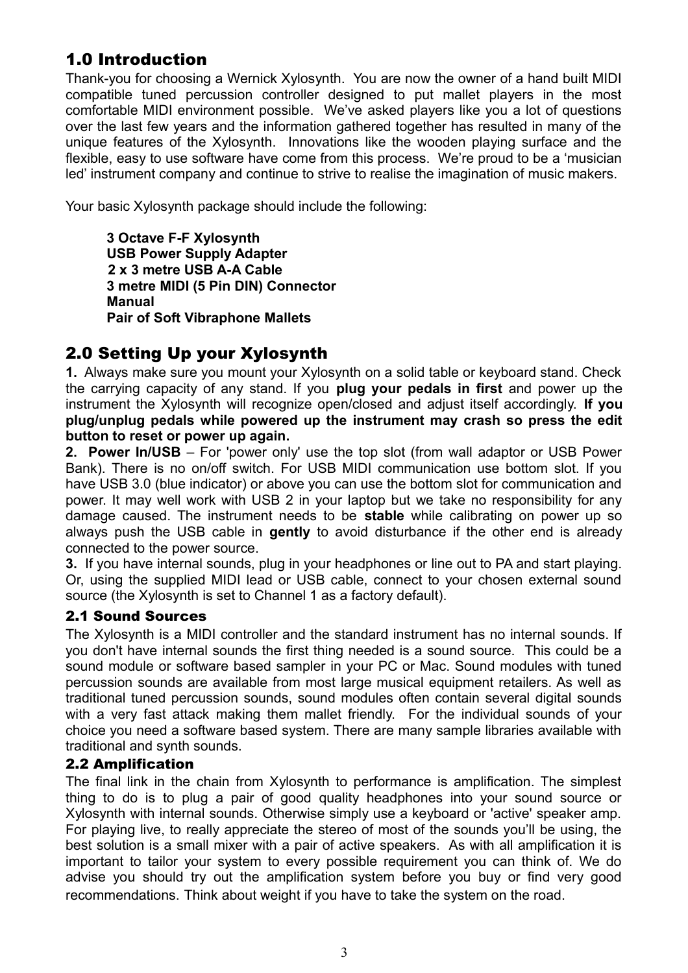## 1.0 Introduction

Thank-you for choosing a Wernick Xylosynth. You are now the owner of a hand built MIDI compatible tuned percussion controller designed to put mallet players in the most comfortable MIDI environment possible. We've asked players like you a lot of questions over the last few years and the information gathered together has resulted in many of the unique features of the Xylosynth. Innovations like the wooden playing surface and the flexible, easy to use software have come from this process. We're proud to be a 'musician led' instrument company and continue to strive to realise the imagination of music makers.

Your basic Xylosynth package should include the following:

**3 Octave F-F Xylosynth USB Power Supply Adapter 2 x 3 metre USB A-A Cable 3 metre MIDI (5 Pin DIN) Connector Manual Pair of Soft Vibraphone Mallets**

## 2.0 Setting Up your Xylosynth

**1.** Always make sure you mount your Xylosynth on a solid table or keyboard stand. Check the carrying capacity of any stand. If you **plug your pedals in first** and power up the instrument the Xylosynth will recognize open/closed and adjust itself accordingly. **If you plug/unplug pedals while powered up the instrument may crash so press the edit button to reset or power up again.**

**2. Power In/USB** – For 'power only' use the top slot (from wall adaptor or USB Power Bank). There is no on/off switch. For USB MIDI communication use bottom slot. If you have USB 3.0 (blue indicator) or above you can use the bottom slot for communication and power. It may well work with USB 2 in your laptop but we take no responsibility for any damage caused. The instrument needs to be **stable** while calibrating on power up so always push the USB cable in **gently** to avoid disturbance if the other end is already connected to the power source.

**3.** If you have internal sounds, plug in your headphones or line out to PA and start playing. Or, using the supplied MIDI lead or USB cable, connect to your chosen external sound source (the Xylosynth is set to Channel 1 as a factory default).

#### 2.1 Sound Sources

The Xylosynth is a MIDI controller and the standard instrument has no internal sounds. If you don't have internal sounds the first thing needed is a sound source. This could be a sound module or software based sampler in your PC or Mac. Sound modules with tuned percussion sounds are available from most large musical equipment retailers. As well as traditional tuned percussion sounds, sound modules often contain several digital sounds with a very fast attack making them mallet friendly. For the individual sounds of your choice you need a software based system. There are many sample libraries available with traditional and synth sounds.

#### 2.2 Amplification

The final link in the chain from Xylosynth to performance is amplification. The simplest thing to do is to plug a pair of good quality headphones into your sound source or Xylosynth with internal sounds. Otherwise simply use a keyboard or 'active' speaker amp. For playing live, to really appreciate the stereo of most of the sounds you'll be using, the best solution is a small mixer with a pair of active speakers. As with all amplification it is important to tailor your system to every possible requirement you can think of. We do advise you should try out the amplification system before you buy or find very good recommendations. Think about weight if you have to take the system on the road.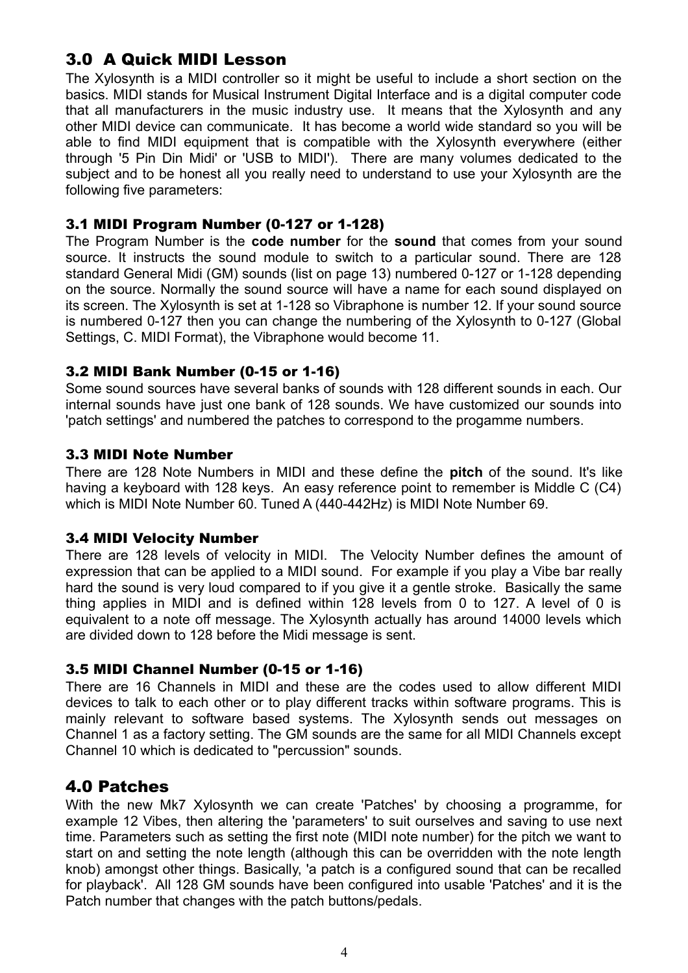## 3.0 A Quick MIDI Lesson

The Xylosynth is a MIDI controller so it might be useful to include a short section on the basics. MIDI stands for Musical Instrument Digital Interface and is a digital computer code that all manufacturers in the music industry use. It means that the Xylosynth and any other MIDI device can communicate. It has become a world wide standard so you will be able to find MIDI equipment that is compatible with the Xylosynth everywhere (either through '5 Pin Din Midi' or 'USB to MIDI'). There are many volumes dedicated to the subject and to be honest all you really need to understand to use your Xylosynth are the following five parameters:

#### 3.1 MIDI Program Number (0-127 or 1-128)

The Program Number is the **code number** for the **sound** that comes from your sound source. It instructs the sound module to switch to a particular sound. There are 128 standard General Midi (GM) sounds (list on page 13) numbered 0-127 or 1-128 depending on the source. Normally the sound source will have a name for each sound displayed on its screen. The Xylosynth is set at 1-128 so Vibraphone is number 12. If your sound source is numbered 0-127 then you can change the numbering of the Xylosynth to 0-127 (Global Settings, C. MIDI Format), the Vibraphone would become 11.

#### 3.2 MIDI Bank Number (0-15 or 1-16)

Some sound sources have several banks of sounds with 128 different sounds in each. Our internal sounds have just one bank of 128 sounds. We have customized our sounds into 'patch settings' and numbered the patches to correspond to the progamme numbers.

#### 3.3 MIDI Note Number

There are 128 Note Numbers in MIDI and these define the **pitch** of the sound. It's like having a keyboard with 128 keys. An easy reference point to remember is Middle C (C4) which is MIDI Note Number 60. Tuned A (440-442Hz) is MIDI Note Number 69.

#### 3.4 MIDI Velocity Number

There are 128 levels of velocity in MIDI. The Velocity Number defines the amount of expression that can be applied to a MIDI sound. For example if you play a Vibe bar really hard the sound is very loud compared to if you give it a gentle stroke. Basically the same thing applies in MIDI and is defined within 128 levels from 0 to 127. A level of 0 is equivalent to a note off message. The Xylosynth actually has around 14000 levels which are divided down to 128 before the Midi message is sent.

#### 3.5 MIDI Channel Number (0-15 or 1-16)

There are 16 Channels in MIDI and these are the codes used to allow different MIDI devices to talk to each other or to play different tracks within software programs. This is mainly relevant to software based systems. The Xylosynth sends out messages on Channel 1 as a factory setting. The GM sounds are the same for all MIDI Channels except Channel 10 which is dedicated to "percussion" sounds.

## 4.0 Patches

With the new Mk7 Xylosynth we can create 'Patches' by choosing a programme, for example 12 Vibes, then altering the 'parameters' to suit ourselves and saving to use next time. Parameters such as setting the first note (MIDI note number) for the pitch we want to start on and setting the note length (although this can be overridden with the note length knob) amongst other things. Basically, 'a patch is a configured sound that can be recalled for playback'. All 128 GM sounds have been configured into usable 'Patches' and it is the Patch number that changes with the patch buttons/pedals.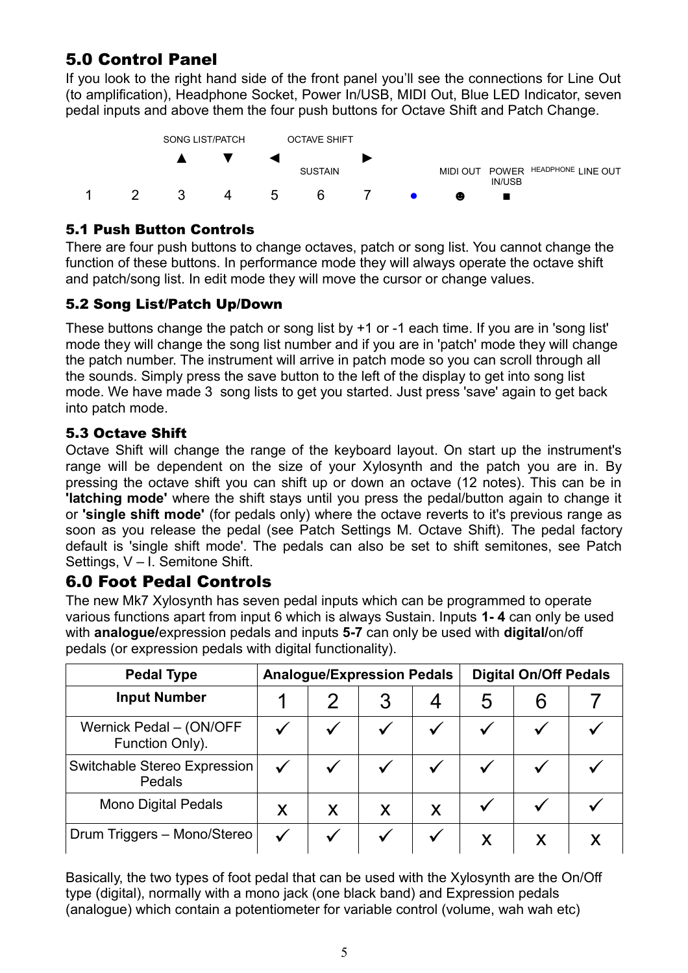## 5.0 Control Panel

If you look to the right hand side of the front panel you'll see the connections for Line Out (to amplification), Headphone Socket, Power In/USB, MIDI Out, Blue LED Indicator, seven pedal inputs and above them the four push buttons for Octave Shift and Patch Change.



### 5.1 Push Button Controls

There are four push buttons to change octaves, patch or song list. You cannot change the function of these buttons. In performance mode they will always operate the octave shift and patch/song list. In edit mode they will move the cursor or change values.

### 5.2 Song List/Patch Up/Down

These buttons change the patch or song list by +1 or -1 each time. If you are in 'song list' mode they will change the song list number and if you are in 'patch' mode they will change the patch number. The instrument will arrive in patch mode so you can scroll through all the sounds. Simply press the save button to the left of the display to get into song list mode. We have made 3 song lists to get you started. Just press 'save' again to get back into patch mode.

### 5.3 Octave Shift

Octave Shift will change the range of the keyboard layout. On start up the instrument's range will be dependent on the size of your Xylosynth and the patch you are in. By pressing the octave shift you can shift up or down an octave (12 notes). This can be in **'latching mode'** where the shift stays until you press the pedal/button again to change it or **'single shift mode'** (for pedals only) where the octave reverts to it's previous range as soon as you release the pedal (see Patch Settings M. Octave Shift). The pedal factory default is 'single shift mode'. The pedals can also be set to shift semitones, see Patch Settings, V – I. Semitone Shift.

## 6.0 Foot Pedal Controls

The new Mk7 Xylosynth has seven pedal inputs which can be programmed to operate various functions apart from input 6 which is always Sustain. Inputs **1- 4** can only be used with **analogue/**expression pedals and inputs **5-7** can only be used with **digital/**on/off pedals (or expression pedals with digital functionality).

| <b>Pedal Type</b>                          |   |   | <b>Analogue/Expression Pedals</b> |   | <b>Digital On/Off Pedals</b> |   |  |
|--------------------------------------------|---|---|-----------------------------------|---|------------------------------|---|--|
| <b>Input Number</b>                        |   |   |                                   |   | 5                            | h |  |
| Wernick Pedal - (ON/OFF<br>Function Only). |   |   |                                   |   |                              |   |  |
| Switchable Stereo Expression<br>Pedals     |   |   |                                   |   |                              |   |  |
| <b>Mono Digital Pedals</b>                 | X | X | X                                 | X |                              |   |  |
| Drum Triggers - Mono/Stereo                |   |   |                                   |   | X                            |   |  |

Basically, the two types of foot pedal that can be used with the Xylosynth are the On/Off type (digital), normally with a mono jack (one black band) and Expression pedals (analogue) which contain a potentiometer for variable control (volume, wah wah etc)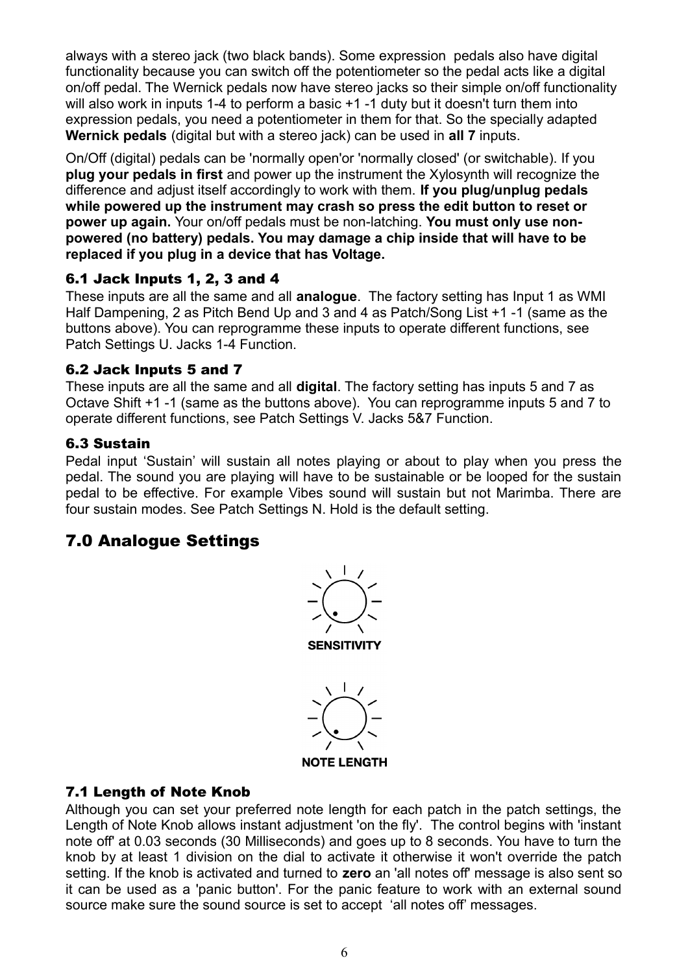always with a stereo jack (two black bands). Some expression pedals also have digital functionality because you can switch off the potentiometer so the pedal acts like a digital on/off pedal. The Wernick pedals now have stereo jacks so their simple on/off functionality will also work in inputs 1-4 to perform a basic +1 -1 duty but it doesn't turn them into expression pedals, you need a potentiometer in them for that. So the specially adapted **Wernick pedals** (digital but with a stereo jack) can be used in **all 7** inputs.

On/Off (digital) pedals can be 'normally open'or 'normally closed' (or switchable). If you **plug your pedals in first** and power up the instrument the Xylosynth will recognize the difference and adjust itself accordingly to work with them. **If you plug/unplug pedals while powered up the instrument may crash so press the edit button to reset or power up again.** Your on/off pedals must be non-latching. **You must only use nonpowered (no battery) pedals. You may damage a chip inside that will have to be replaced if you plug in a device that has Voltage.** 

#### 6.1 Jack Inputs 1, 2, 3 and 4

These inputs are all the same and all **analogue**. The factory setting has Input 1 as WMI Half Dampening, 2 as Pitch Bend Up and 3 and 4 as Patch/Song List +1 -1 (same as the buttons above). You can reprogramme these inputs to operate different functions, see Patch Settings U. Jacks 1-4 Function.

#### 6.2 Jack Inputs 5 and 7

These inputs are all the same and all **digital**. The factory setting has inputs 5 and 7 as Octave Shift +1 -1 (same as the buttons above). You can reprogramme inputs 5 and 7 to operate different functions, see Patch Settings V. Jacks 5&7 Function.

#### 6.3 Sustain

Pedal input 'Sustain' will sustain all notes playing or about to play when you press the pedal. The sound you are playing will have to be sustainable or be looped for the sustain pedal to be effective. For example Vibes sound will sustain but not Marimba. There are four sustain modes. See Patch Settings N. Hold is the default setting.

## 7.0 Analogue Settings





#### 7.1 Length of Note Knob

Although you can set your preferred note length for each patch in the patch settings, the Length of Note Knob allows instant adjustment 'on the fly'. The control begins with 'instant note off' at 0.03 seconds (30 Milliseconds) and goes up to 8 seconds. You have to turn the knob by at least 1 division on the dial to activate it otherwise it won't override the patch setting. If the knob is activated and turned to **zero** an 'all notes off' message is also sent so it can be used as a 'panic button'. For the panic feature to work with an external sound source make sure the sound source is set to accept 'all notes off' messages.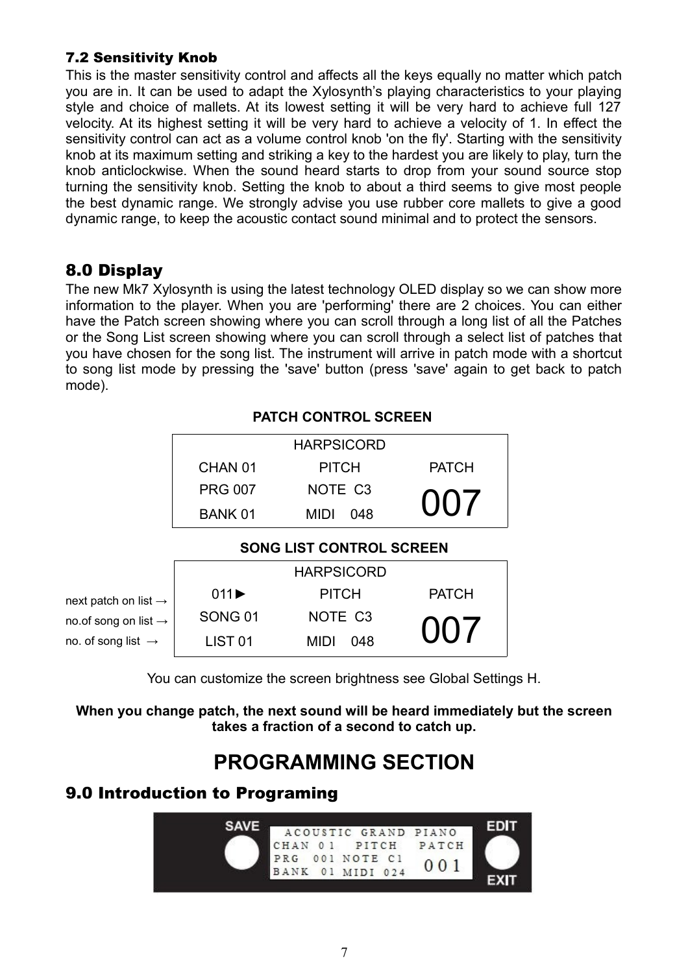#### 7.2 Sensitivity Knob

This is the master sensitivity control and affects all the keys equally no matter which patch you are in. It can be used to adapt the Xylosynth's playing characteristics to your playing style and choice of mallets. At its lowest setting it will be very hard to achieve full 127 velocity. At its highest setting it will be very hard to achieve a velocity of 1. In effect the sensitivity control can act as a volume control knob 'on the fly'. Starting with the sensitivity knob at its maximum setting and striking a key to the hardest you are likely to play, turn the knob anticlockwise. When the sound heard starts to drop from your sound source stop turning the sensitivity knob. Setting the knob to about a third seems to give most people the best dynamic range. We strongly advise you use rubber core mallets to give a good dynamic range, to keep the acoustic contact sound minimal and to protect the sensors.

## 8.0 Display

The new Mk7 Xylosynth is using the latest technology OLED display so we can show more information to the player. When you are 'performing' there are 2 choices. You can either have the Patch screen showing where you can scroll through a long list of all the Patches or the Song List screen showing where you can scroll through a select list of patches that you have chosen for the song list. The instrument will arrive in patch mode with a shortcut to song list mode by pressing the 'save' button (press 'save' again to get back to patch mode).

|                                  | PAI UN UUN I KUL ƏUKEEN   |                                 |              |  |
|----------------------------------|---------------------------|---------------------------------|--------------|--|
|                                  | <b>HARPSICORD</b>         |                                 |              |  |
|                                  | CHAN 01                   | <b>PITCH</b>                    | <b>PATCH</b> |  |
|                                  | <b>PRG 007</b>            | NOTE C <sub>3</sub>             |              |  |
|                                  | <b>BANK 01</b>            | 048<br><b>MIDI</b>              | 007          |  |
|                                  |                           | <b>SONG LIST CONTROL SCREEN</b> |              |  |
|                                  |                           | <b>HARPSICORD</b>               |              |  |
| next patch on list $\rightarrow$ | $011 \blacktriangleright$ | <b>PITCH</b>                    | <b>PATCH</b> |  |
| no.of song on list $\rightarrow$ | <b>SONG 01</b>            | NOTE C <sub>3</sub>             | $(1)$ ( $17$ |  |
| no. of song list $\rightarrow$   | .IST 01                   | 048<br>MIDI                     |              |  |

#### **PATCH CONTROL SCREEN**

You can customize the screen brightness see Global Settings H.

**When you change patch, the next sound will be heard immediately but the screen takes a fraction of a second to catch up.**

## **PROGRAMMING SECTION**

## 9.0 Introduction to Programing

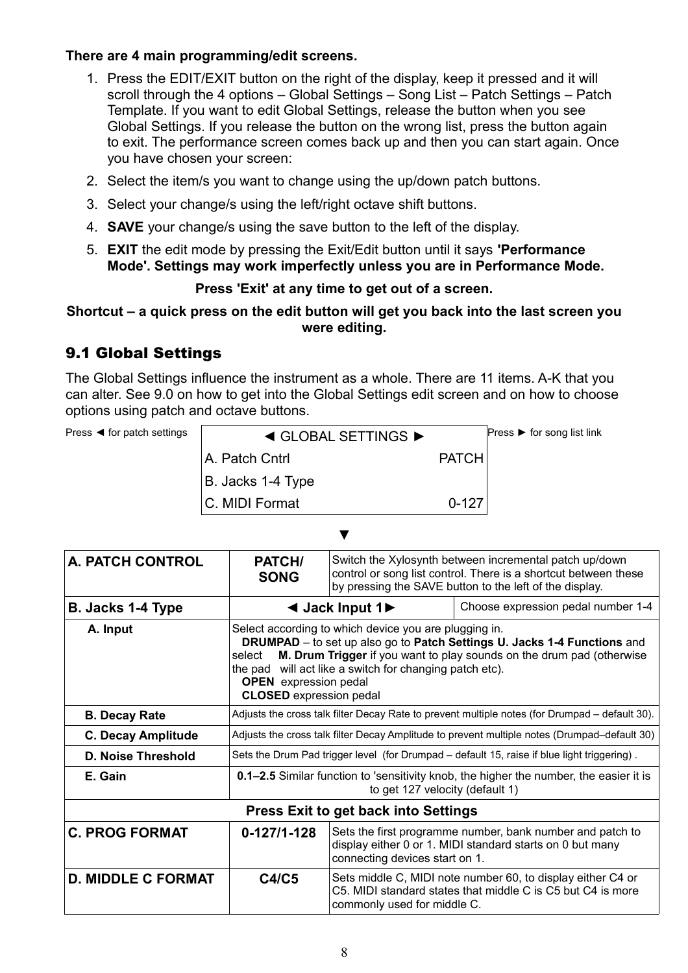#### **There are 4 main programming/edit screens.**

- 1. Press the EDIT/EXIT button on the right of the display, keep it pressed and it will scroll through the 4 options – Global Settings – Song List – Patch Settings – Patch Template. If you want to edit Global Settings, release the button when you see Global Settings. If you release the button on the wrong list, press the button again to exit. The performance screen comes back up and then you can start again. Once you have chosen your screen:
- 2. Select the item/s you want to change using the up/down patch buttons.
- 3. Select your change/s using the left/right octave shift buttons.
- 4. **SAVE** your change/s using the save button to the left of the display.
- 5. **EXIT** the edit mode by pressing the Exit/Edit button until it says **'Performance Mode'. Settings may work imperfectly unless you are in Performance Mode.**

#### **Press 'Exit' at any time to get out of a screen.**

#### **Shortcut – a quick press on the edit button will get you back into the last screen you were editing.**

## 9.1 Global Settings

The Global Settings influence the instrument as a whole. There are 11 items. A-K that you can alter. See 9.0 on how to get into the Global Settings edit screen and on how to choose options using patch and octave buttons.

| Press $\blacktriangleleft$ for patch settings | $\triangleleft$ GLOBAL SETTINGS $\triangleright$ |              | Press $\triangleright$ for song list link |
|-----------------------------------------------|--------------------------------------------------|--------------|-------------------------------------------|
|                                               | A. Patch Cntrl                                   | <b>PATCH</b> |                                           |
|                                               | B. Jacks 1-4 Type                                |              |                                           |
|                                               | IC. MIDI Format                                  | $0 - 127$    |                                           |

▼

| <b>A. PATCH CONTROL</b>   | PATCH/<br><b>SONG</b>                                                                                                                                                                                                                                                                                                                                    | Switch the Xylosynth between incremental patch up/down<br>control or song list control. There is a shortcut between these<br>by pressing the SAVE button to the left of the display. |  |  |
|---------------------------|----------------------------------------------------------------------------------------------------------------------------------------------------------------------------------------------------------------------------------------------------------------------------------------------------------------------------------------------------------|--------------------------------------------------------------------------------------------------------------------------------------------------------------------------------------|--|--|
| B. Jacks 1-4 Type         |                                                                                                                                                                                                                                                                                                                                                          | Choose expression pedal number 1-4<br>$\triangleleft$ Jack Input 1                                                                                                                   |  |  |
| A. Input                  | Select according to which device you are plugging in.<br><b>DRUMPAD</b> – to set up also go to Patch Settings U. Jacks 1-4 Functions and<br>M. Drum Trigger if you want to play sounds on the drum pad (otherwise<br>select<br>the pad will act like a switch for changing patch etc).<br><b>OPEN</b> expression pedal<br><b>CLOSED</b> expression pedal |                                                                                                                                                                                      |  |  |
| <b>B. Decay Rate</b>      | Adjusts the cross talk filter Decay Rate to prevent multiple notes (for Drumpad - default 30).                                                                                                                                                                                                                                                           |                                                                                                                                                                                      |  |  |
| <b>C. Decay Amplitude</b> | Adjusts the cross talk filter Decay Amplitude to prevent multiple notes (Drumpad-default 30)                                                                                                                                                                                                                                                             |                                                                                                                                                                                      |  |  |
| <b>D. Noise Threshold</b> | Sets the Drum Pad trigger level (for Drumpad - default 15, raise if blue light triggering).                                                                                                                                                                                                                                                              |                                                                                                                                                                                      |  |  |
| E. Gain                   | 0.1-2.5 Similar function to 'sensitivity knob, the higher the number, the easier it is<br>to get 127 velocity (default 1)                                                                                                                                                                                                                                |                                                                                                                                                                                      |  |  |
|                           |                                                                                                                                                                                                                                                                                                                                                          | <b>Press Exit to get back into Settings</b>                                                                                                                                          |  |  |
| <b>C. PROG FORMAT</b>     | Sets the first programme number, bank number and patch to<br>$0 - 127/1 - 128$<br>display either 0 or 1. MIDI standard starts on 0 but many<br>connecting devices start on 1.                                                                                                                                                                            |                                                                                                                                                                                      |  |  |
| <b>D. MIDDLE C FORMAT</b> | <b>C4/C5</b>                                                                                                                                                                                                                                                                                                                                             | Sets middle C, MIDI note number 60, to display either C4 or<br>C5. MIDI standard states that middle C is C5 but C4 is more<br>commonly used for middle C.                            |  |  |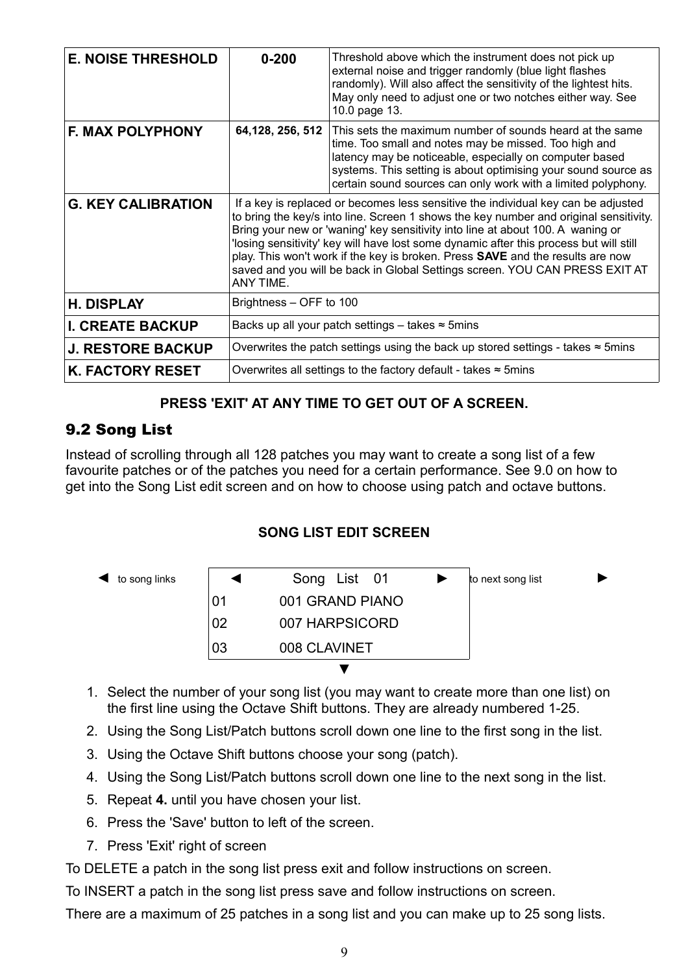| <b>E. NOISE THRESHOLD</b> | $0 - 200$                                                                                                                                                                                                                                                                                                                                                                                                                                                                                                                            | Threshold above which the instrument does not pick up<br>external noise and trigger randomly (blue light flashes<br>randomly). Will also affect the sensitivity of the lightest hits.<br>May only need to adjust one or two notches either way. See<br>10.0 page 13.                                            |  |
|---------------------------|--------------------------------------------------------------------------------------------------------------------------------------------------------------------------------------------------------------------------------------------------------------------------------------------------------------------------------------------------------------------------------------------------------------------------------------------------------------------------------------------------------------------------------------|-----------------------------------------------------------------------------------------------------------------------------------------------------------------------------------------------------------------------------------------------------------------------------------------------------------------|--|
| <b>F. MAX POLYPHONY</b>   | 64, 128, 256, 512                                                                                                                                                                                                                                                                                                                                                                                                                                                                                                                    | This sets the maximum number of sounds heard at the same<br>time. Too small and notes may be missed. Too high and<br>latency may be noticeable, especially on computer based<br>systems. This setting is about optimising your sound source as<br>certain sound sources can only work with a limited polyphony. |  |
| <b>G. KEY CALIBRATION</b> | If a key is replaced or becomes less sensitive the individual key can be adjusted<br>to bring the key/s into line. Screen 1 shows the key number and original sensitivity.<br>Bring your new or 'waning' key sensitivity into line at about 100. A waning or<br>'losing sensitivity' key will have lost some dynamic after this process but will still<br>play. This won't work if the key is broken. Press SAVE and the results are now<br>saved and you will be back in Global Settings screen. YOU CAN PRESS EXIT AT<br>ANY TIME. |                                                                                                                                                                                                                                                                                                                 |  |
| <b>H. DISPLAY</b>         | Brightness - OFF to 100                                                                                                                                                                                                                                                                                                                                                                                                                                                                                                              |                                                                                                                                                                                                                                                                                                                 |  |
| <b>I. CREATE BACKUP</b>   | Backs up all your patch settings – takes $\approx$ 5mins                                                                                                                                                                                                                                                                                                                                                                                                                                                                             |                                                                                                                                                                                                                                                                                                                 |  |
| <b>J. RESTORE BACKUP</b>  | Overwrites the patch settings using the back up stored settings - takes $\approx$ 5mins                                                                                                                                                                                                                                                                                                                                                                                                                                              |                                                                                                                                                                                                                                                                                                                 |  |
| <b>K. FACTORY RESET</b>   | Overwrites all settings to the factory default - takes $\approx$ 5mins                                                                                                                                                                                                                                                                                                                                                                                                                                                               |                                                                                                                                                                                                                                                                                                                 |  |

#### **PRESS 'EXIT' AT ANY TIME TO GET OUT OF A SCREEN.**

### 9.2 Song List

Instead of scrolling through all 128 patches you may want to create a song list of a few favourite patches or of the patches you need for a certain performance. See 9.0 on how to get into the Song List edit screen and on how to choose using patch and octave buttons.

#### **SONG LIST EDIT SCREEN**

| to song links |    | Song List 01    | to next song list |  |
|---------------|----|-----------------|-------------------|--|
|               | 01 | 001 GRAND PIANO |                   |  |
|               | 02 | 007 HARPSICORD  |                   |  |
|               | 03 | 008 CLAVINET    |                   |  |
|               |    |                 |                   |  |

- 1. Select the number of your song list (you may want to create more than one list) on the first line using the Octave Shift buttons. They are already numbered 1-25.
- 2. Using the Song List/Patch buttons scroll down one line to the first song in the list.
- 3. Using the Octave Shift buttons choose your song (patch).
- 4. Using the Song List/Patch buttons scroll down one line to the next song in the list.
- 5. Repeat **4.** until you have chosen your list.
- 6. Press the 'Save' button to left of the screen.
- 7. Press 'Exit' right of screen

To DELETE a patch in the song list press exit and follow instructions on screen.

To INSERT a patch in the song list press save and follow instructions on screen.

There are a maximum of 25 patches in a song list and you can make up to 25 song lists.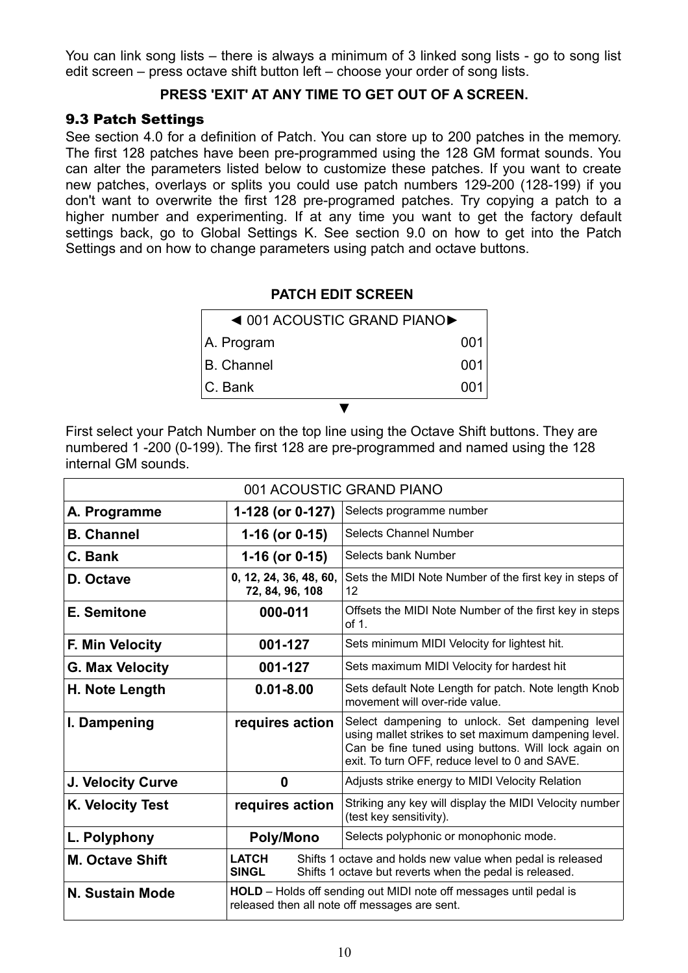You can link song lists – there is always a minimum of 3 linked song lists - go to song list edit screen – press octave shift button left – choose your order of song lists.

#### **PRESS 'EXIT' AT ANY TIME TO GET OUT OF A SCREEN.**

#### 9.3 Patch Settings

See section 4.0 for a definition of Patch. You can store up to 200 patches in the memory. The first 128 patches have been pre-programmed using the 128 GM format sounds. You can alter the parameters listed below to customize these patches. If you want to create new patches, overlays or splits you could use patch numbers 129-200 (128-199) if you don't want to overwrite the first 128 pre-programed patches. Try copying a patch to a higher number and experimenting. If at any time you want to get the factory default settings back, go to Global Settings K. See section 9.0 on how to get into the Patch Settings and on how to change parameters using patch and octave buttons.

#### **PATCH EDIT SCREEN**

| $\triangleleft$ 001 ACOUSTIC GRAND PIANO $\triangleright$ |       |
|-----------------------------------------------------------|-------|
| A. Program                                                | 001   |
| <b>B. Channel</b>                                         | 001   |
| IC. Bank                                                  | 0(11) |
|                                                           |       |

First select your Patch Number on the top line using the Octave Shift buttons. They are numbered 1 -200 (0-199). The first 128 are pre-programmed and named using the 128 internal GM sounds.

| 001 ACOUSTIC GRAND PIANO |                                                                                                                                                       |                                                                                                                                                                                                                  |  |
|--------------------------|-------------------------------------------------------------------------------------------------------------------------------------------------------|------------------------------------------------------------------------------------------------------------------------------------------------------------------------------------------------------------------|--|
| A. Programme             | 1-128 (or 0-127)                                                                                                                                      | Selects programme number                                                                                                                                                                                         |  |
| <b>B. Channel</b>        | 1-16 (or 0-15)                                                                                                                                        | <b>Selects Channel Number</b>                                                                                                                                                                                    |  |
| C. Bank                  | 1-16 (or 0-15)                                                                                                                                        | Selects bank Number                                                                                                                                                                                              |  |
| D. Octave                | 0, 12, 24, 36, 48, 60,<br>72, 84, 96, 108                                                                                                             | Sets the MIDI Note Number of the first key in steps of<br>12                                                                                                                                                     |  |
| E. Semitone              | 000-011                                                                                                                                               | Offsets the MIDI Note Number of the first key in steps<br>of 1.                                                                                                                                                  |  |
| F. Min Velocity          | 001-127                                                                                                                                               | Sets minimum MIDI Velocity for lightest hit.                                                                                                                                                                     |  |
| <b>G. Max Velocity</b>   | 001-127                                                                                                                                               | Sets maximum MIDI Velocity for hardest hit                                                                                                                                                                       |  |
| H. Note Length           | $0.01 - 8.00$                                                                                                                                         | Sets default Note Length for patch. Note length Knob<br>movement will over-ride value.                                                                                                                           |  |
| I. Dampening             | requires action                                                                                                                                       | Select dampening to unlock. Set dampening level<br>using mallet strikes to set maximum dampening level.<br>Can be fine tuned using buttons. Will lock again on<br>exit. To turn OFF, reduce level to 0 and SAVE. |  |
| J. Velocity Curve        | 0                                                                                                                                                     | Adjusts strike energy to MIDI Velocity Relation                                                                                                                                                                  |  |
| K. Velocity Test         | requires action                                                                                                                                       | Striking any key will display the MIDI Velocity number<br>(test key sensitivity).                                                                                                                                |  |
| L. Polyphony             | <b>Poly/Mono</b>                                                                                                                                      | Selects polyphonic or monophonic mode.                                                                                                                                                                           |  |
| <b>M. Octave Shift</b>   | <b>LATCH</b><br>Shifts 1 octave and holds new value when pedal is released<br><b>SINGL</b><br>Shifts 1 octave but reverts when the pedal is released. |                                                                                                                                                                                                                  |  |
| N. Sustain Mode          | <b>HOLD</b> - Holds off sending out MIDI note off messages until pedal is<br>released then all note off messages are sent.                            |                                                                                                                                                                                                                  |  |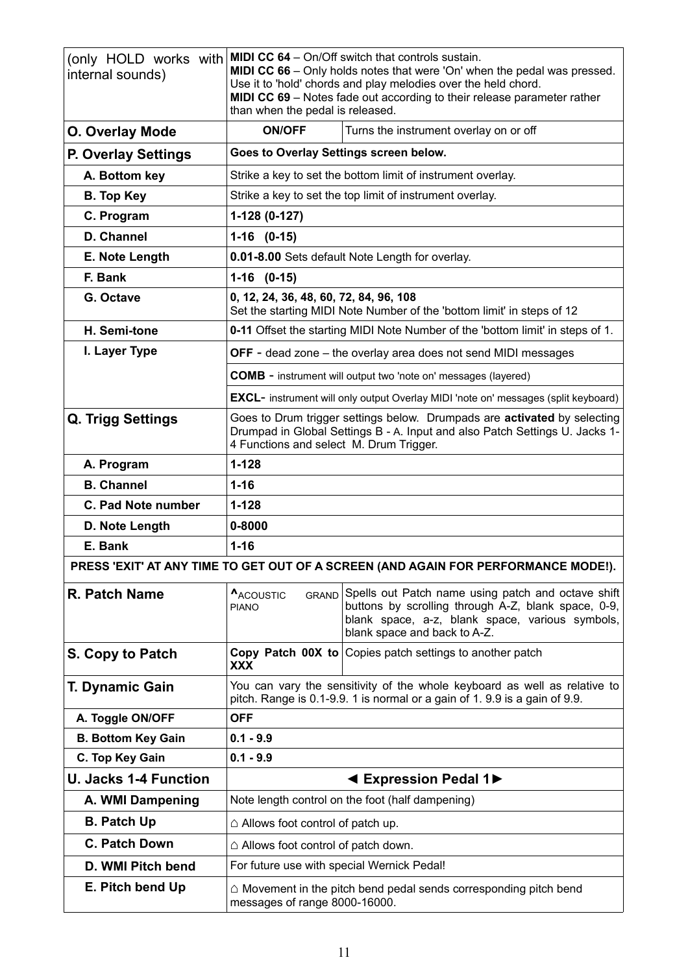| internal sounds)                                                                   | (only HOLD works with MIDI CC 64 - On/Off switch that controls sustain.<br><b>MIDI CC 66</b> – Only holds notes that were 'On' when the pedal was pressed.<br>Use it to 'hold' chords and play melodies over the held chord.<br>MIDI CC 69 - Notes fade out according to their release parameter rather<br>than when the pedal is released. |                                                                                                                                                                                              |  |  |
|------------------------------------------------------------------------------------|---------------------------------------------------------------------------------------------------------------------------------------------------------------------------------------------------------------------------------------------------------------------------------------------------------------------------------------------|----------------------------------------------------------------------------------------------------------------------------------------------------------------------------------------------|--|--|
| O. Overlay Mode                                                                    | <b>ON/OFF</b>                                                                                                                                                                                                                                                                                                                               | Turns the instrument overlay on or off                                                                                                                                                       |  |  |
| <b>P. Overlay Settings</b>                                                         | Goes to Overlay Settings screen below.                                                                                                                                                                                                                                                                                                      |                                                                                                                                                                                              |  |  |
| A. Bottom key                                                                      |                                                                                                                                                                                                                                                                                                                                             | Strike a key to set the bottom limit of instrument overlay.                                                                                                                                  |  |  |
| <b>B.</b> Top Key                                                                  | Strike a key to set the top limit of instrument overlay.                                                                                                                                                                                                                                                                                    |                                                                                                                                                                                              |  |  |
| C. Program                                                                         | 1-128 (0-127)                                                                                                                                                                                                                                                                                                                               |                                                                                                                                                                                              |  |  |
| D. Channel                                                                         | $1-16$ $(0-15)$                                                                                                                                                                                                                                                                                                                             |                                                                                                                                                                                              |  |  |
| E. Note Length                                                                     |                                                                                                                                                                                                                                                                                                                                             | 0.01-8.00 Sets default Note Length for overlay.                                                                                                                                              |  |  |
| F. Bank                                                                            | $1-16$ $(0-15)$                                                                                                                                                                                                                                                                                                                             |                                                                                                                                                                                              |  |  |
| G. Octave                                                                          | 0, 12, 24, 36, 48, 60, 72, 84, 96, 108                                                                                                                                                                                                                                                                                                      | Set the starting MIDI Note Number of the 'bottom limit' in steps of 12                                                                                                                       |  |  |
| H. Semi-tone                                                                       |                                                                                                                                                                                                                                                                                                                                             | 0-11 Offset the starting MIDI Note Number of the 'bottom limit' in steps of 1.                                                                                                               |  |  |
| I. Layer Type                                                                      |                                                                                                                                                                                                                                                                                                                                             | <b>OFF</b> - dead zone $-$ the overlay area does not send MIDI messages                                                                                                                      |  |  |
|                                                                                    |                                                                                                                                                                                                                                                                                                                                             | <b>COMB</b> - instrument will output two 'note on' messages (layered)                                                                                                                        |  |  |
|                                                                                    |                                                                                                                                                                                                                                                                                                                                             | <b>EXCL-</b> instrument will only output Overlay MIDI 'note on' messages (split keyboard)                                                                                                    |  |  |
| Q. Trigg Settings                                                                  | Goes to Drum trigger settings below. Drumpads are activated by selecting<br>Drumpad in Global Settings B - A. Input and also Patch Settings U. Jacks 1-<br>4 Functions and select M. Drum Trigger.                                                                                                                                          |                                                                                                                                                                                              |  |  |
| A. Program                                                                         | $1 - 128$                                                                                                                                                                                                                                                                                                                                   |                                                                                                                                                                                              |  |  |
| <b>B.</b> Channel                                                                  | $1 - 16$                                                                                                                                                                                                                                                                                                                                    |                                                                                                                                                                                              |  |  |
| C. Pad Note number                                                                 | $1 - 128$                                                                                                                                                                                                                                                                                                                                   |                                                                                                                                                                                              |  |  |
| D. Note Length                                                                     | 0-8000                                                                                                                                                                                                                                                                                                                                      |                                                                                                                                                                                              |  |  |
| $1 - 16$<br>E. Bank                                                                |                                                                                                                                                                                                                                                                                                                                             |                                                                                                                                                                                              |  |  |
| PRESS 'EXIT' AT ANY TIME TO GET OUT OF A SCREEN (AND AGAIN FOR PERFORMANCE MODE!). |                                                                                                                                                                                                                                                                                                                                             |                                                                                                                                                                                              |  |  |
| R. Patch Name                                                                      | ACOUSTIC<br><b>GRAND</b><br><b>PIANO</b>                                                                                                                                                                                                                                                                                                    | Spells out Patch name using patch and octave shift<br>buttons by scrolling through A-Z, blank space, 0-9,<br>blank space, a-z, blank space, various symbols,<br>blank space and back to A-Z. |  |  |
| S. Copy to Patch                                                                   | <b>XXX</b>                                                                                                                                                                                                                                                                                                                                  | Copy Patch 00X to Copies patch settings to another patch                                                                                                                                     |  |  |
| <b>T. Dynamic Gain</b>                                                             |                                                                                                                                                                                                                                                                                                                                             | You can vary the sensitivity of the whole keyboard as well as relative to<br>pitch. Range is 0.1-9.9. 1 is normal or a gain of 1.9.9 is a gain of 9.9.                                       |  |  |
| A. Toggle ON/OFF                                                                   | <b>OFF</b>                                                                                                                                                                                                                                                                                                                                  |                                                                                                                                                                                              |  |  |
| <b>B. Bottom Key Gain</b>                                                          | $0.1 - 9.9$                                                                                                                                                                                                                                                                                                                                 |                                                                                                                                                                                              |  |  |
| C. Top Key Gain                                                                    | $0.1 - 9.9$                                                                                                                                                                                                                                                                                                                                 |                                                                                                                                                                                              |  |  |
| <b>U. Jacks 1-4 Function</b>                                                       | ◀ Expression Pedal 1▶                                                                                                                                                                                                                                                                                                                       |                                                                                                                                                                                              |  |  |
| A. WMI Dampening                                                                   | Note length control on the foot (half dampening)                                                                                                                                                                                                                                                                                            |                                                                                                                                                                                              |  |  |
| <b>B. Patch Up</b>                                                                 | $\triangle$ Allows foot control of patch up.                                                                                                                                                                                                                                                                                                |                                                                                                                                                                                              |  |  |
| <b>C. Patch Down</b>                                                               | $\triangle$ Allows foot control of patch down.                                                                                                                                                                                                                                                                                              |                                                                                                                                                                                              |  |  |
| D. WMI Pitch bend                                                                  | For future use with special Wernick Pedal!                                                                                                                                                                                                                                                                                                  |                                                                                                                                                                                              |  |  |
| E. Pitch bend Up                                                                   | $\triangle$ Movement in the pitch bend pedal sends corresponding pitch bend<br>messages of range 8000-16000.                                                                                                                                                                                                                                |                                                                                                                                                                                              |  |  |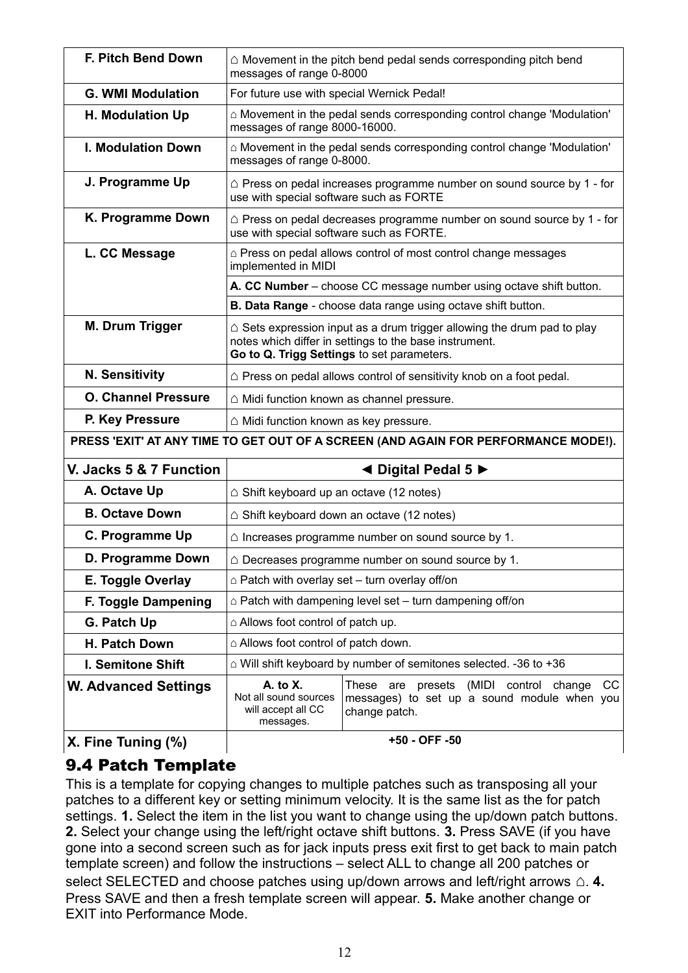| F. Pitch Bend Down          | $\triangle$ Movement in the pitch bend pedal sends corresponding pitch bend<br>messages of range 0-8000                                                                                   |                                                                                                                |  |  |
|-----------------------------|-------------------------------------------------------------------------------------------------------------------------------------------------------------------------------------------|----------------------------------------------------------------------------------------------------------------|--|--|
| <b>G. WMI Modulation</b>    | For future use with special Wernick Pedal!                                                                                                                                                |                                                                                                                |  |  |
| H. Modulation Up            | $\triangle$ Movement in the pedal sends corresponding control change 'Modulation'<br>messages of range 8000-16000.                                                                        |                                                                                                                |  |  |
| <b>I. Modulation Down</b>   |                                                                                                                                                                                           | $\triangle$ Movement in the pedal sends corresponding control change 'Modulation'<br>messages of range 0-8000. |  |  |
| J. Programme Up             | $\triangle$ Press on pedal increases programme number on sound source by 1 - for<br>use with special software such as FORTE                                                               |                                                                                                                |  |  |
| K. Programme Down           | use with special software such as FORTE.                                                                                                                                                  | $\triangle$ Press on pedal decreases programme number on sound source by 1 - for                               |  |  |
| L. CC Message               | implemented in MIDI                                                                                                                                                                       | $\triangle$ Press on pedal allows control of most control change messages                                      |  |  |
|                             |                                                                                                                                                                                           | A. CC Number – choose CC message number using octave shift button.                                             |  |  |
|                             |                                                                                                                                                                                           | B. Data Range - choose data range using octave shift button.                                                   |  |  |
| M. Drum Trigger             | $\triangle$ Sets expression input as a drum trigger allowing the drum pad to play<br>notes which differ in settings to the base instrument.<br>Go to Q. Trigg Settings to set parameters. |                                                                                                                |  |  |
| <b>N. Sensitivity</b>       | $\triangle$ Press on pedal allows control of sensitivity knob on a foot pedal.                                                                                                            |                                                                                                                |  |  |
| <b>O. Channel Pressure</b>  | $\triangle$ Midi function known as channel pressure.                                                                                                                                      |                                                                                                                |  |  |
| P. Key Pressure             | △ Midi function known as key pressure.                                                                                                                                                    |                                                                                                                |  |  |
|                             |                                                                                                                                                                                           | PRESS 'EXIT' AT ANY TIME TO GET OUT OF A SCREEN (AND AGAIN FOR PERFORMANCE MODE!).                             |  |  |
| V. Jacks 5 & 7 Function     | ◀ Digital Pedal 5 ▶                                                                                                                                                                       |                                                                                                                |  |  |
| A. Octave Up                | $\triangle$ Shift keyboard up an octave (12 notes)                                                                                                                                        |                                                                                                                |  |  |
| <b>B. Octave Down</b>       | $\triangle$ Shift keyboard down an octave (12 notes)                                                                                                                                      |                                                                                                                |  |  |
| C. Programme Up             |                                                                                                                                                                                           | $\triangle$ Increases programme number on sound source by 1.                                                   |  |  |
| D. Programme Down           |                                                                                                                                                                                           | $\triangle$ Decreases programme number on sound source by 1.                                                   |  |  |
| E. Toggle Overlay           | $\triangle$ Patch with overlay set – turn overlay off/on                                                                                                                                  |                                                                                                                |  |  |
| F. Toggle Dampening         | $\triangle$ Patch with dampening level set – turn dampening off/on                                                                                                                        |                                                                                                                |  |  |
| G. Patch Up                 | $\triangle$ Allows foot control of patch up.                                                                                                                                              |                                                                                                                |  |  |
| H. Patch Down               | $\triangle$ Allows foot control of patch down.                                                                                                                                            |                                                                                                                |  |  |
| I. Semitone Shift           |                                                                                                                                                                                           | $\triangle$ Will shift keyboard by number of semitones selected. -36 to +36                                    |  |  |
| <b>W. Advanced Settings</b> | $A.$ to $X.$<br>Not all sound sources<br>will accept all CC<br>messages.                                                                                                                  | These are presets (MIDI control change<br>CC.<br>messages) to set up a sound module when you<br>change patch.  |  |  |
| X. Fine Tuning (%)          |                                                                                                                                                                                           | +50 - OFF -50                                                                                                  |  |  |

## 9.4 Patch Template

This is a template for copying changes to multiple patches such as transposing all your patches to a different key or setting minimum velocity. It is the same list as the for patch settings. **1.** Select the item in the list you want to change using the up/down patch buttons. **2.** Select your change using the left/right octave shift buttons. **3.** Press SAVE (if you have gone into a second screen such as for jack inputs press exit first to get back to main patch template screen) and follow the instructions – select ALL to change all 200 patches or select SELECTED and choose patches using up/down arrows and left/right arrows △ 4. Press SAVE and then a fresh template screen will appear. **5.** Make another change or EXIT into Performance Mode.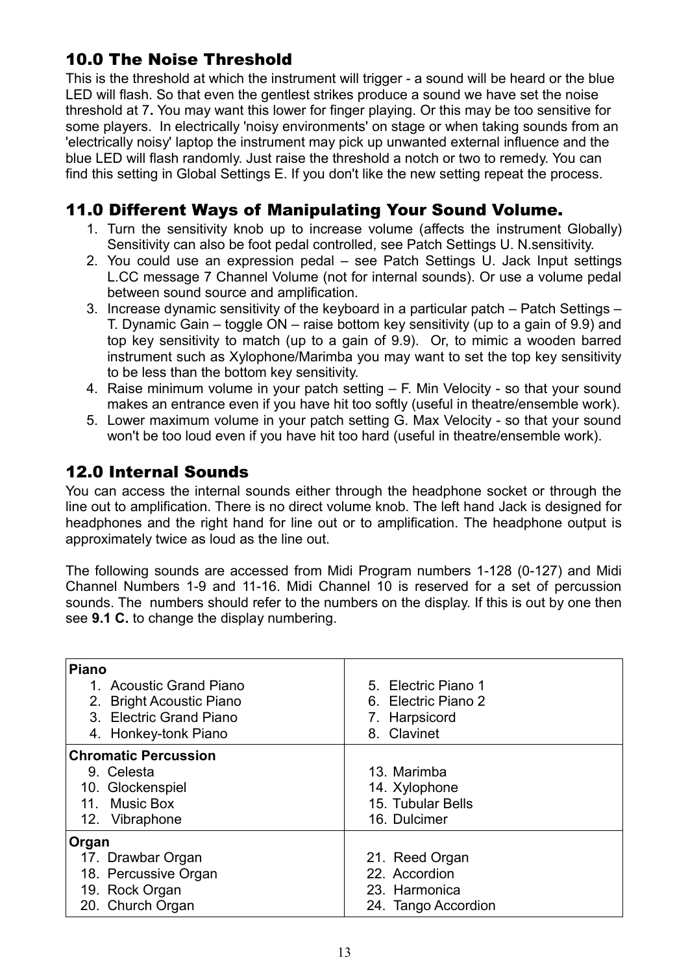## 10.0 The Noise Threshold

This is the threshold at which the instrument will trigger - a sound will be heard or the blue LED will flash. So that even the gentlest strikes produce a sound we have set the noise threshold at 7**.** You may want this lower for finger playing. Or this may be too sensitive for some players. In electrically 'noisy environments' on stage or when taking sounds from an 'electrically noisy' laptop the instrument may pick up unwanted external influence and the blue LED will flash randomly. Just raise the threshold a notch or two to remedy. You can find this setting in Global Settings E. If you don't like the new setting repeat the process.

## 11.0 Different Ways of Manipulating Your Sound Volume.

- 1. Turn the sensitivity knob up to increase volume (affects the instrument Globally) Sensitivity can also be foot pedal controlled, see Patch Settings U. N.sensitivity.
- 2. You could use an expression pedal see Patch Settings U. Jack Input settings L.CC message 7 Channel Volume (not for internal sounds). Or use a volume pedal between sound source and amplification.
- 3. Increase dynamic sensitivity of the keyboard in a particular patch Patch Settings T. Dynamic Gain – toggle ON – raise bottom key sensitivity (up to a gain of 9.9) and top key sensitivity to match (up to a gain of 9.9). Or, to mimic a wooden barred instrument such as Xylophone/Marimba you may want to set the top key sensitivity to be less than the bottom key sensitivity.
- 4. Raise minimum volume in your patch setting F. Min Velocity so that your sound makes an entrance even if you have hit too softly (useful in theatre/ensemble work).
- 5. Lower maximum volume in your patch setting G. Max Velocity so that your sound won't be too loud even if you have hit too hard (useful in theatre/ensemble work).

## 12.0 Internal Sounds

You can access the internal sounds either through the headphone socket or through the line out to amplification. There is no direct volume knob. The left hand Jack is designed for headphones and the right hand for line out or to amplification. The headphone output is approximately twice as loud as the line out.

The following sounds are accessed from Midi Program numbers 1-128 (0-127) and Midi Channel Numbers 1-9 and 11-16. Midi Channel 10 is reserved for a set of percussion sounds. The numbers should refer to the numbers on the display. If this is out by one then see **9.1 C.** to change the display numbering.

| <b>Piano</b><br>1 Acoustic Grand Piano<br>2. Bright Acoustic Piano<br>3. Electric Grand Piano<br>4. Honkey-tonk Piano | 5. Electric Piano 1<br>6. Electric Piano 2<br>7. Harpsicord<br>8. Clavinet |
|-----------------------------------------------------------------------------------------------------------------------|----------------------------------------------------------------------------|
| <b>Chromatic Percussion</b>                                                                                           |                                                                            |
| 9. Celesta                                                                                                            | 13. Marimba                                                                |
| 10. Glockenspiel                                                                                                      | 14. Xylophone                                                              |
| 11. Music Box                                                                                                         | 15. Tubular Bells                                                          |
| 12. Vibraphone                                                                                                        | 16. Dulcimer                                                               |
| Organ                                                                                                                 |                                                                            |
| 17. Drawbar Organ                                                                                                     | 21. Reed Organ                                                             |
| 18. Percussive Organ                                                                                                  | 22. Accordion                                                              |
| 19. Rock Organ                                                                                                        | 23. Harmonica                                                              |
| 20. Church Organ                                                                                                      | 24. Tango Accordion                                                        |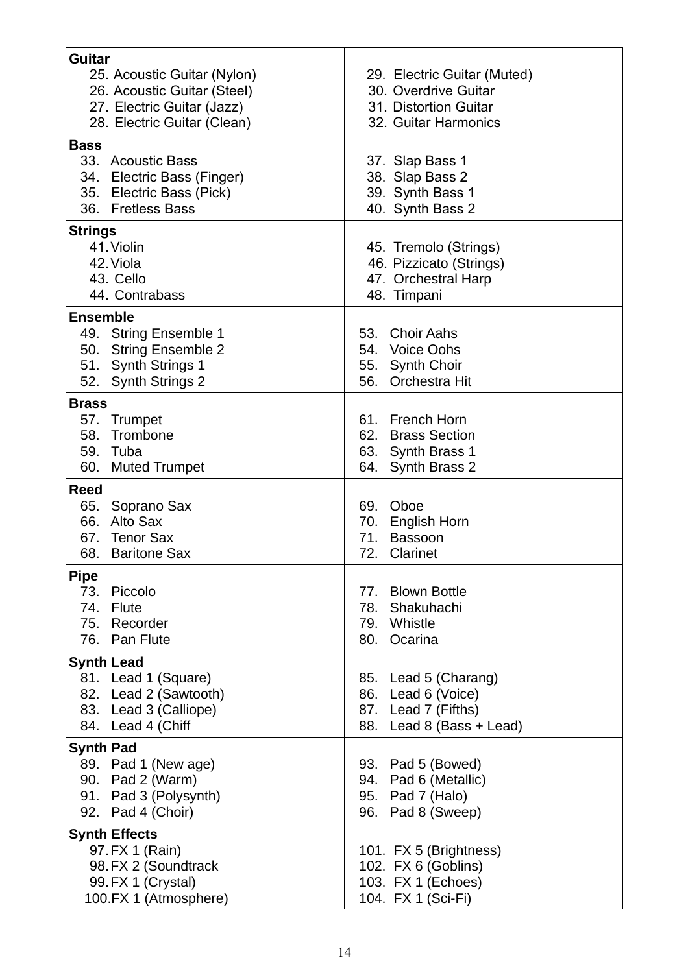| Guitar                                      |                             |  |  |
|---------------------------------------------|-----------------------------|--|--|
| 25. Acoustic Guitar (Nylon)                 | 29. Electric Guitar (Muted) |  |  |
| 26. Acoustic Guitar (Steel)                 | 30. Overdrive Guitar        |  |  |
| 27. Electric Guitar (Jazz)                  | 31. Distortion Guitar       |  |  |
| 28. Electric Guitar (Clean)                 | 32. Guitar Harmonics        |  |  |
| <b>Bass</b>                                 |                             |  |  |
| 33. Acoustic Bass                           | 37. Slap Bass 1             |  |  |
| 34. Electric Bass (Finger)                  | 38. Slap Bass 2             |  |  |
| 35. Electric Bass (Pick)                    | 39. Synth Bass 1            |  |  |
| 36. Fretless Bass                           | 40. Synth Bass 2            |  |  |
|                                             |                             |  |  |
| <b>Strings</b><br>41. Violin                |                             |  |  |
|                                             | 45. Tremolo (Strings)       |  |  |
| 42. Viola<br>43. Cello                      | 46. Pizzicato (Strings)     |  |  |
|                                             | 47. Orchestral Harp         |  |  |
| 44. Contrabass                              | 48. Timpani                 |  |  |
| <b>Ensemble</b>                             |                             |  |  |
| 49. String Ensemble 1                       | 53. Choir Aahs              |  |  |
| 50. String Ensemble 2                       | 54. Voice Oohs              |  |  |
| 51. Synth Strings 1                         | 55. Synth Choir             |  |  |
| 52. Synth Strings 2                         | 56.<br>Orchestra Hit        |  |  |
| <b>Brass</b>                                |                             |  |  |
| 57. Trumpet                                 | 61. French Horn             |  |  |
| 58.<br>Trombone                             | 62.<br><b>Brass Section</b> |  |  |
| 59. Tuba                                    | 63. Synth Brass 1           |  |  |
| 60. Muted Trumpet                           | 64.<br>Synth Brass 2        |  |  |
| Reed                                        |                             |  |  |
| Soprano Sax<br>65.                          | 69. Oboe                    |  |  |
| 66. Alto Sax                                | 70.<br>English Horn         |  |  |
| 67. Tenor Sax                               | Bassoon<br>71.              |  |  |
| 68. Baritone Sax                            | 72.<br>Clarinet             |  |  |
|                                             |                             |  |  |
| <b>Pipe</b>                                 |                             |  |  |
| Piccolo<br>73.                              | 77. Blown Bottle            |  |  |
| 74. Flute                                   | 78. Shakuhachi              |  |  |
| 75. Recorder<br>76. Pan Flute               | 79. Whistle                 |  |  |
|                                             | 80. Ocarina                 |  |  |
| <b>Synth Lead</b>                           |                             |  |  |
| 81. Lead 1 (Square)                         | 85. Lead 5 (Charang)        |  |  |
| 82. Lead 2 (Sawtooth)                       | 86. Lead 6 (Voice)          |  |  |
| 83. Lead 3 (Calliope)                       | 87. Lead 7 (Fifths)         |  |  |
| 84. Lead 4 (Chiff                           | 88. Lead 8 (Bass + Lead)    |  |  |
| <b>Synth Pad</b>                            |                             |  |  |
| 89. Pad 1 (New age)                         | 93. Pad 5 (Bowed)           |  |  |
| 90. Pad 2 (Warm)                            | 94. Pad 6 (Metallic)        |  |  |
| 91. Pad 3 (Polysynth)                       | 95. Pad 7 (Halo)            |  |  |
| 92. Pad 4 (Choir)                           | 96. Pad 8 (Sweep)           |  |  |
| <b>Synth Effects</b>                        |                             |  |  |
| 97. FX 1 (Rain)                             | 101. FX 5 (Brightness)      |  |  |
| 98. FX 2 (Soundtrack<br>102. FX 6 (Goblins) |                             |  |  |
| 99. FX 1 (Crystal)                          | 103. FX 1 (Echoes)          |  |  |
| 100.FX 1 (Atmosphere)                       | 104. FX 1 (Sci-Fi)          |  |  |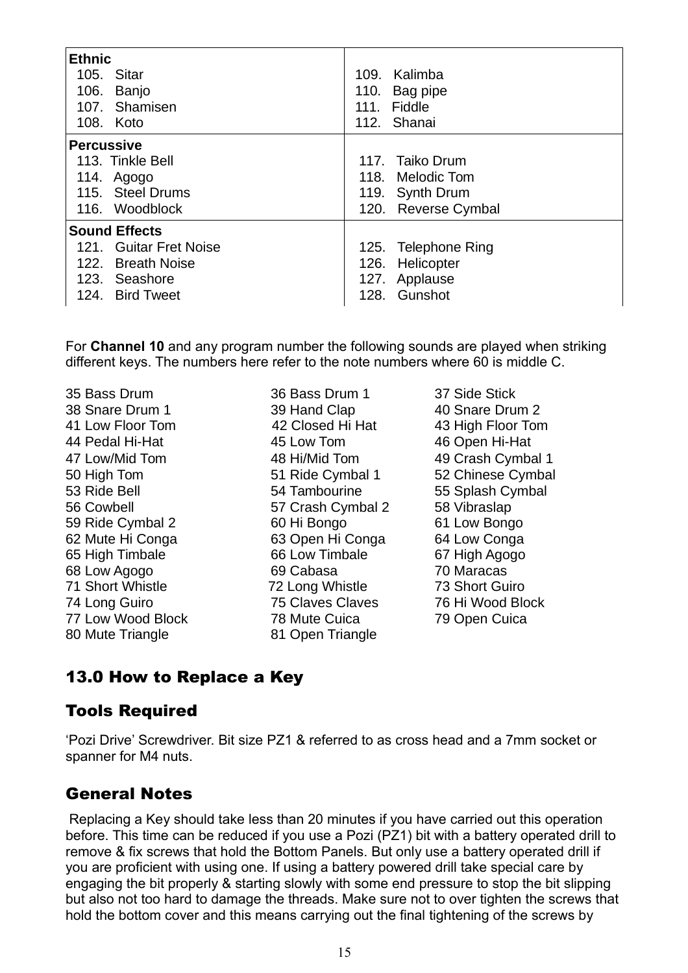| <b>Ethnic</b><br>105. Sitar<br>106. Banjo<br>107. Shamisen<br>108. Koto | 109. Kalimba<br>110. Bag pipe<br>111. Fiddle<br>112. Shanai |  |  |  |
|-------------------------------------------------------------------------|-------------------------------------------------------------|--|--|--|
| <b>Percussive</b>                                                       |                                                             |  |  |  |
| 113. Tinkle Bell                                                        | 117. Taiko Drum                                             |  |  |  |
| 114. Agogo                                                              | 118. Melodic Tom                                            |  |  |  |
| 115. Steel Drums                                                        | 119. Synth Drum                                             |  |  |  |
| 116. Woodblock                                                          | 120. Reverse Cymbal                                         |  |  |  |
| <b>Sound Effects</b>                                                    |                                                             |  |  |  |
| 121. Guitar Fret Noise                                                  | 125. Telephone Ring                                         |  |  |  |
| 122. Breath Noise                                                       | 126. Helicopter                                             |  |  |  |
| 123. Seashore                                                           | 127. Applause                                               |  |  |  |
| 124. Bird Tweet                                                         | 128. Gunshot                                                |  |  |  |

For **Channel 10** and any program number the following sounds are played when striking different keys. The numbers here refer to the note numbers where 60 is middle C.

35 Bass Drum 36 Bass Drum 1 37 Side Stick 38 Snare Drum 1 39 Hand Clap 40 Snare Drum 2 41 Low Floor Tom 42 Closed Hi Hat 43 High Floor Tom 44 Pedal Hi-Hat 45 Low Tom 46 Open Hi-Hat 47 Low/Mid Tom 48 Hi/Mid Tom 49 Crash Cymbal 1 50 High Tom 51 Ride Cymbal 1 52 Chinese Cymbal 53 Ride Bell 54 Tambourine 55 Splash Cymbal 56 Cowbell 57 Crash Cymbal 2 58 Vibraslap 59 Ride Cymbal 2 60 Hi Bongo 61 Low Bongo 62 Mute Hi Conga 63 Open Hi Conga 64 Low Conga 65 High Timbale 66 Low Timbale 67 High Agogo 68 Low Agogo 69 Cabasa 70 Maracas 71 Short Whistle 72 Long Whistle 73 Short Guiro 74 Long Guiro 75 Claves Claves 76 Hi Wood Block 77 Low Wood Block 78 Mute Cuica 79 Open Cuica

80 Mute Triangle 81 Open Triangle

## 13.0 How to Replace a Key

#### Tools Required

'Pozi Drive' Screwdriver. Bit size PZ1 & referred to as cross head and a 7mm socket or spanner for M4 nuts.

## General Notes

Replacing a Key should take less than 20 minutes if you have carried out this operation before. This time can be reduced if you use a Pozi (PZ1) bit with a battery operated drill to remove & fix screws that hold the Bottom Panels. But only use a battery operated drill if you are proficient with using one. If using a battery powered drill take special care by engaging the bit properly & starting slowly with some end pressure to stop the bit slipping but also not too hard to damage the threads. Make sure not to over tighten the screws that hold the bottom cover and this means carrying out the final tightening of the screws by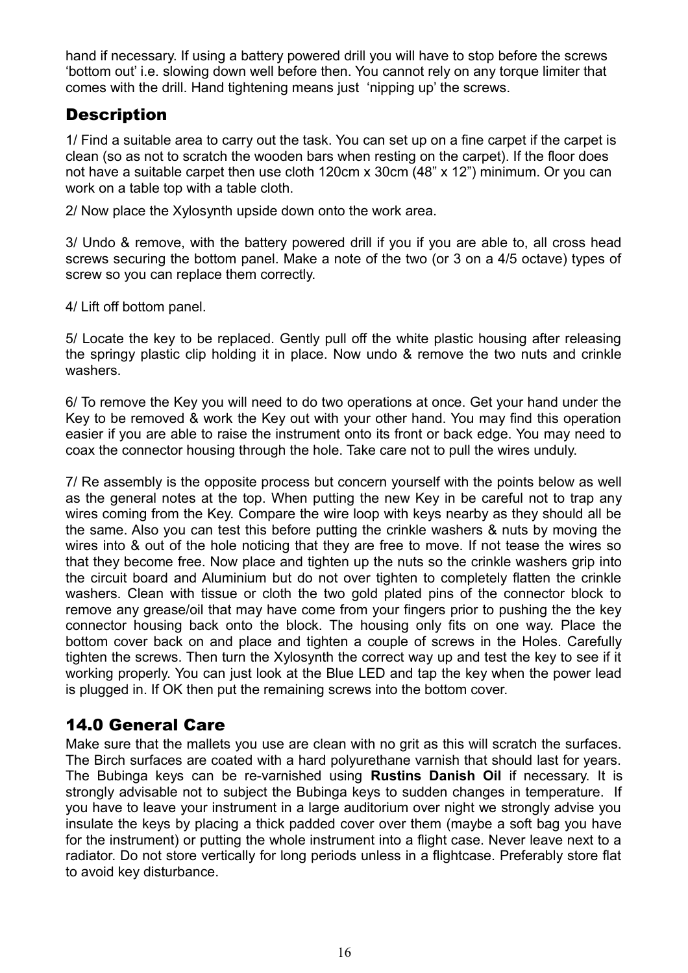hand if necessary. If using a battery powered drill you will have to stop before the screws 'bottom out' i.e. slowing down well before then. You cannot rely on any torque limiter that comes with the drill. Hand tightening means just 'nipping up' the screws.

## **Description**

1/ Find a suitable area to carry out the task. You can set up on a fine carpet if the carpet is clean (so as not to scratch the wooden bars when resting on the carpet). If the floor does not have a suitable carpet then use cloth 120cm x 30cm (48" x 12") minimum. Or you can work on a table top with a table cloth.

2/ Now place the Xylosynth upside down onto the work area.

3/ Undo & remove, with the battery powered drill if you if you are able to, all cross head screws securing the bottom panel. Make a note of the two (or 3 on a 4/5 octave) types of screw so you can replace them correctly.

4/ Lift off bottom panel.

5/ Locate the key to be replaced. Gently pull off the white plastic housing after releasing the springy plastic clip holding it in place. Now undo & remove the two nuts and crinkle washers.

6/ To remove the Key you will need to do two operations at once. Get your hand under the Key to be removed & work the Key out with your other hand. You may find this operation easier if you are able to raise the instrument onto its front or back edge. You may need to coax the connector housing through the hole. Take care not to pull the wires unduly.

7/ Re assembly is the opposite process but concern yourself with the points below as well as the general notes at the top. When putting the new Key in be careful not to trap any wires coming from the Key. Compare the wire loop with keys nearby as they should all be the same. Also you can test this before putting the crinkle washers & nuts by moving the wires into & out of the hole noticing that they are free to move. If not tease the wires so that they become free. Now place and tighten up the nuts so the crinkle washers grip into the circuit board and Aluminium but do not over tighten to completely flatten the crinkle washers. Clean with tissue or cloth the two gold plated pins of the connector block to remove any grease/oil that may have come from your fingers prior to pushing the the key connector housing back onto the block. The housing only fits on one way. Place the bottom cover back on and place and tighten a couple of screws in the Holes. Carefully tighten the screws. Then turn the Xylosynth the correct way up and test the key to see if it working properly. You can just look at the Blue LED and tap the key when the power lead is plugged in. If OK then put the remaining screws into the bottom cover.

## 14.0 General Care

Make sure that the mallets you use are clean with no grit as this will scratch the surfaces. The Birch surfaces are coated with a hard polyurethane varnish that should last for years. The Bubinga keys can be re-varnished using **Rustins Danish Oil** if necessary. It is strongly advisable not to subject the Bubinga keys to sudden changes in temperature. If you have to leave your instrument in a large auditorium over night we strongly advise you insulate the keys by placing a thick padded cover over them (maybe a soft bag you have for the instrument) or putting the whole instrument into a flight case. Never leave next to a radiator. Do not store vertically for long periods unless in a flightcase. Preferably store flat to avoid key disturbance.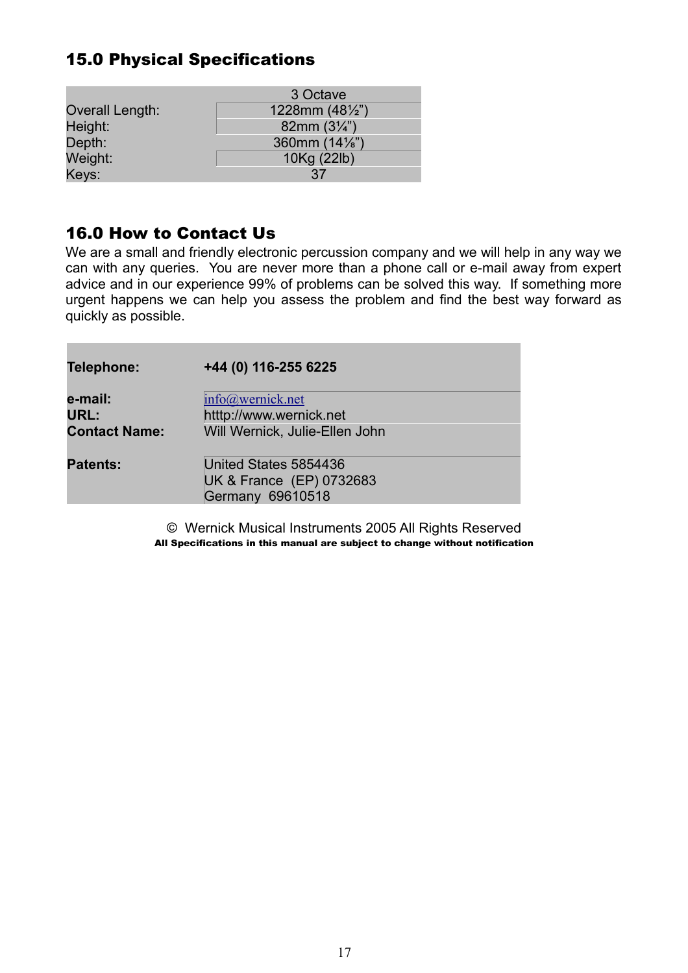## 15.0 Physical Specifications

|                 | 3 Octave                 |
|-----------------|--------------------------|
| Overall Length: | 1228mm $(48\frac{1}{2})$ |
| Height:         | 82mm $(3\frac{1}{4})$    |
| Depth:          | 360mm (14%")             |
| Weight:         | 10Kg (22lb)              |
| Keys:           | 37                       |

## 16.0 How to Contact Us

We are a small and friendly electronic percussion company and we will help in any way we can with any queries. You are never more than a phone call or e-mail away from expert advice and in our experience 99% of problems can be solved this way. If something more urgent happens we can help you assess the problem and find the best way forward as quickly as possible.

| Telephone:                              | +44 (0) 116-255 6225                                                          |  |
|-----------------------------------------|-------------------------------------------------------------------------------|--|
| e-mail:<br>URL:<br><b>Contact Name:</b> | info@wernick.net<br>htttp://www.wernick.net<br>Will Wernick, Julie-Ellen John |  |
| <b>Patents:</b>                         | United States 5854436<br>UK & France (EP) 0732683<br><b>Germany 69610518</b>  |  |

© Wernick Musical Instruments 2005 All Rights Reserved All Specifications in this manual are subject to change without notification